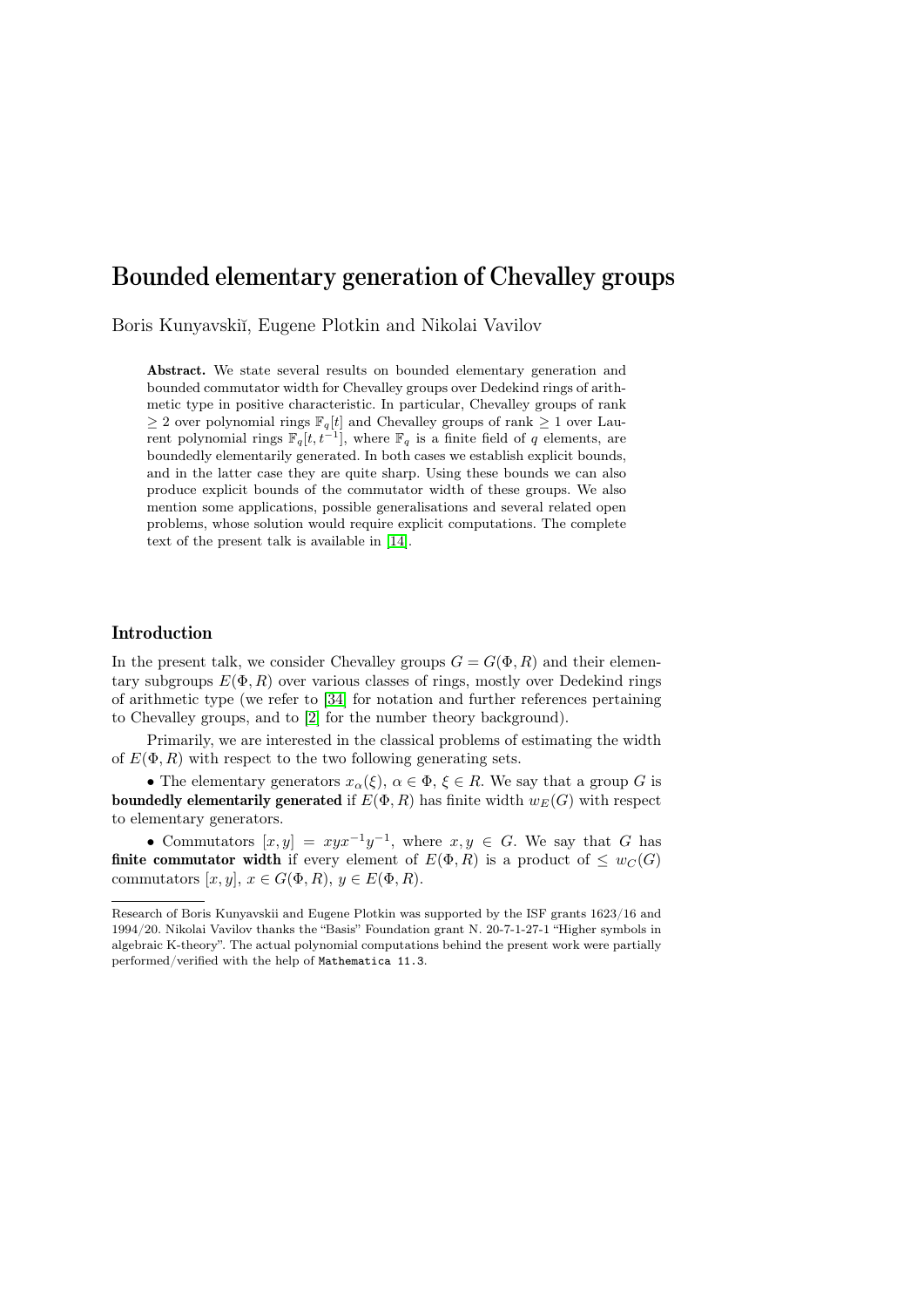# Bounded elementary generation of Chevalley groups

Boris Kunyavski˘ı, Eugene Plotkin and Nikolai Vavilov

Abstract. We state several results on bounded elementary generation and bounded commutator width for Chevalley groups over Dedekind rings of arithmetic type in positive characteristic. In particular, Chevalley groups of rank  $\geq 2$  over polynomial rings  $\mathbb{F}_q[t]$  and Chevalley groups of rank  $\geq 1$  over Laurent polynomial rings  $\mathbb{F}_q[t, t^{-1}]$ , where  $\mathbb{F}_q$  is a finite field of q elements, are boundedly elementarily generated. In both cases we establish explicit bounds, and in the latter case they are quite sharp. Using these bounds we can also produce explicit bounds of the commutator width of these groups. We also mention some applications, possible generalisations and several related open problems, whose solution would require explicit computations. The complete text of the present talk is available in [\[14\]](#page-9-0).

### Introduction

In the present talk, we consider Chevalley groups  $G = G(\Phi, R)$  and their elementary subgroups  $E(\Phi, R)$  over various classes of rings, mostly over Dedekind rings of arithmetic type (we refer to [\[34\]](#page-10-0) for notation and further references pertaining to Chevalley groups, and to [\[2\]](#page-9-1) for the number theory background).

Primarily, we are interested in the classical problems of estimating the width of  $E(\Phi, R)$  with respect to the two following generating sets.

• The elementary generators  $x_\alpha(\xi)$ ,  $\alpha \in \Phi$ ,  $\xi \in R$ . We say that a group G is **boundedly elementarily generated** if  $E(\Phi, R)$  has finite width  $w_E(G)$  with respect to elementary generators.

• Commutators  $[x, y] = xyx^{-1}y^{-1}$ , where  $x, y \in G$ . We say that G has **finite commutator width** if every element of  $E(\Phi, R)$  is a product of  $\leq w_C(G)$ commutators  $[x, y], x \in G(\Phi, R), y \in E(\Phi, R)$ .

Research of Boris Kunyavskii and Eugene Plotkin was supported by the ISF grants 1623/16 and 1994/20. Nikolai Vavilov thanks the "Basis" Foundation grant N. 20-7-1-27-1 "Higher symbols in algebraic K-theory". The actual polynomial computations behind the present work were partially performed/verified with the help of Mathematica 11.3.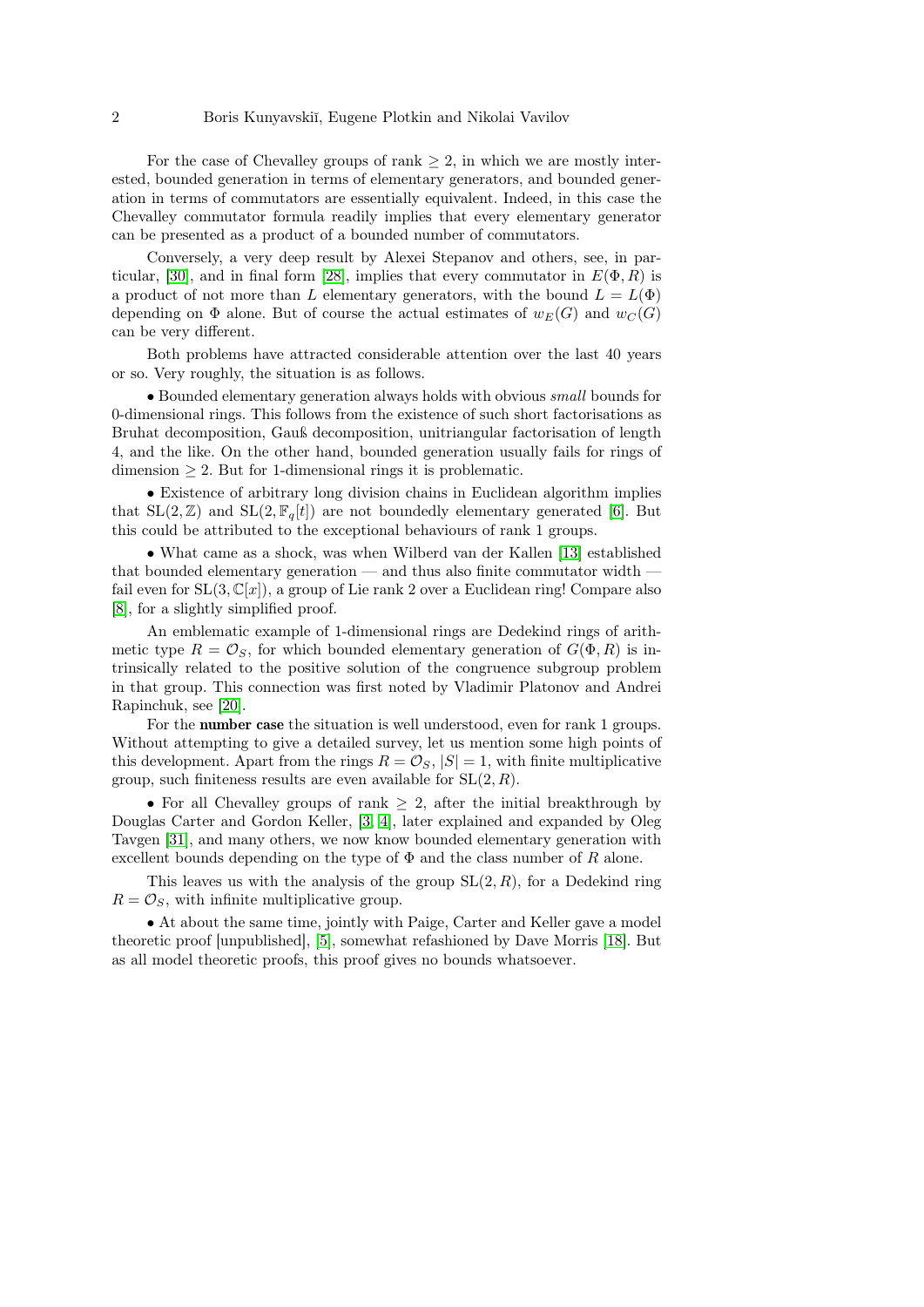For the case of Chevalley groups of rank  $\geq 2$ , in which we are mostly interested, bounded generation in terms of elementary generators, and bounded generation in terms of commutators are essentially equivalent. Indeed, in this case the Chevalley commutator formula readily implies that every elementary generator can be presented as a product of a bounded number of commutators.

Conversely, a very deep result by Alexei Stepanov and others, see, in par-ticular, [\[30\]](#page-10-1), and in final form [\[28\]](#page-10-2), implies that every commutator in  $E(\Phi, R)$  is a product of not more than L elementary generators, with the bound  $L = L(\Phi)$ depending on  $\Phi$  alone. But of course the actual estimates of  $w_E(G)$  and  $w_C(G)$ can be very different.

Both problems have attracted considerable attention over the last 40 years or so. Very roughly, the situation is as follows.

• Bounded elementary generation always holds with obvious small bounds for 0-dimensional rings. This follows from the existence of such short factorisations as Bruhat decomposition, Gauß decomposition, unitriangular factorisation of length 4, and the like. On the other hand, bounded generation usually fails for rings of  $dimension \geq 2$ . But for 1-dimensional rings it is problematic.

• Existence of arbitrary long division chains in Euclidean algorithm implies that  $SL(2, \mathbb{Z})$  and  $SL(2, \mathbb{F}_q[t])$  are not boundedly elementary generated [\[6\]](#page-9-2). But this could be attributed to the exceptional behaviours of rank 1 groups.

• What came as a shock, was when Wilberd van der Kallen [\[13\]](#page-9-3) established that bounded elementary generation — and thus also finite commutator width fail even for  $SL(3,\mathbb{C}[x])$ , a group of Lie rank 2 over a Euclidean ring! Compare also [\[8\]](#page-9-4), for a slightly simplified proof.

An emblematic example of 1-dimensional rings are Dedekind rings of arithmetic type  $R = \mathcal{O}_S$ , for which bounded elementary generation of  $G(\Phi, R)$  is intrinsically related to the positive solution of the congruence subgroup problem in that group. This connection was first noted by Vladimir Platonov and Andrei Rapinchuk, see [\[20\]](#page-9-5).

For the number case the situation is well understood, even for rank 1 groups. Without attempting to give a detailed survey, let us mention some high points of this development. Apart from the rings  $R = \mathcal{O}_S$ ,  $|S| = 1$ , with finite multiplicative group, such finiteness results are even available for  $SL(2, R)$ .

• For all Chevalley groups of rank  $\geq 2$ , after the initial breakthrough by Douglas Carter and Gordon Keller, [\[3,](#page-9-6) [4\]](#page-9-7), later explained and expanded by Oleg Tavgen [\[31\]](#page-10-3), and many others, we now know bounded elementary generation with excellent bounds depending on the type of  $\Phi$  and the class number of R alone.

This leaves us with the analysis of the group  $SL(2, R)$ , for a Dedekind ring  $R = \mathcal{O}_S$ , with infinite multiplicative group.

• At about the same time, jointly with Paige, Carter and Keller gave a model theoretic proof [unpublished], [\[5\]](#page-9-8), somewhat refashioned by Dave Morris [\[18\]](#page-9-9). But as all model theoretic proofs, this proof gives no bounds whatsoever.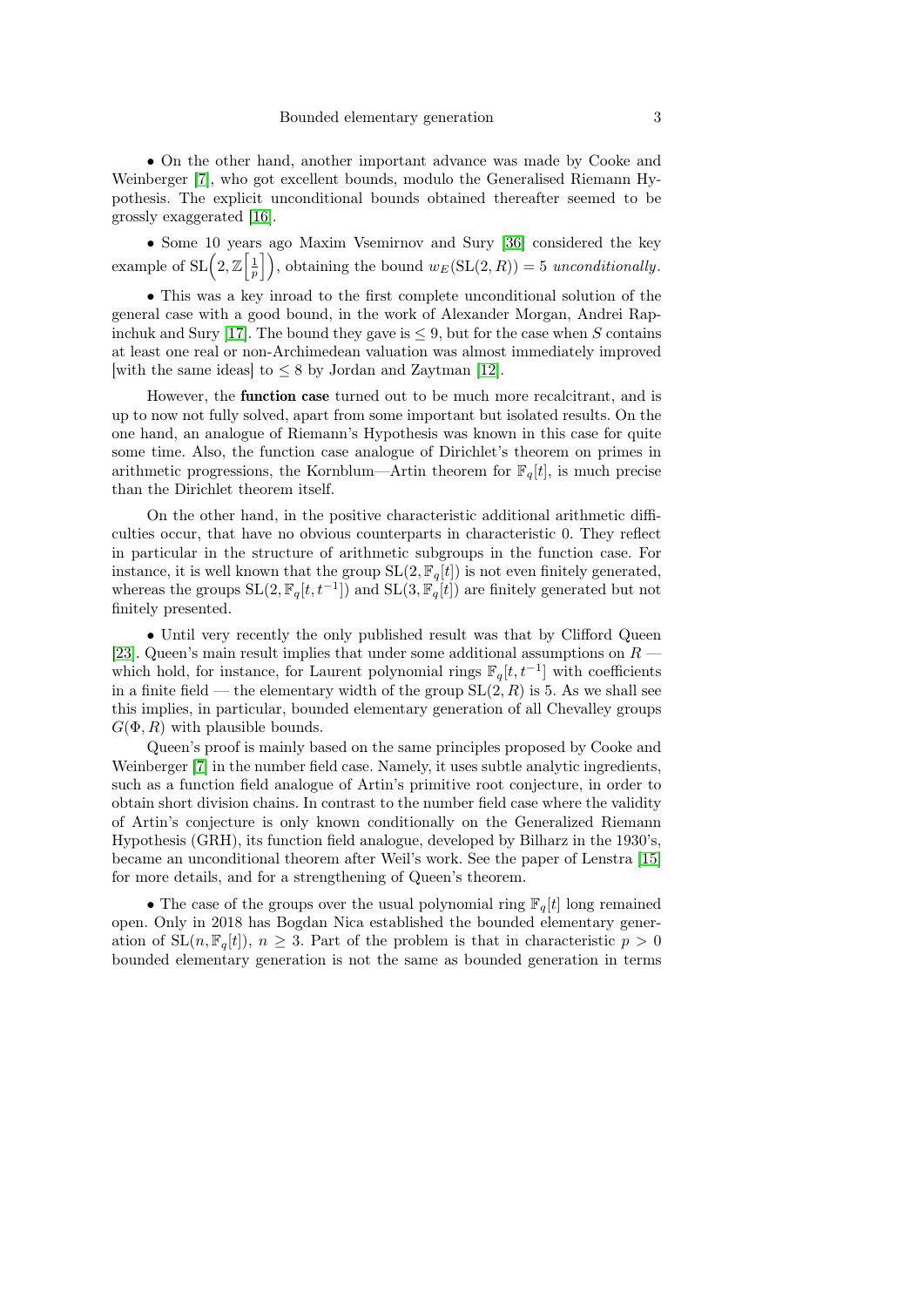• On the other hand, another important advance was made by Cooke and Weinberger [\[7\]](#page-9-10), who got excellent bounds, modulo the Generalised Riemann Hypothesis. The explicit unconditional bounds obtained thereafter seemed to be grossly exaggerated [\[16\]](#page-9-11).

• Some 10 years ago Maxim Vsemirnov and Sury [\[36\]](#page-10-4) considered the key example of  $\text{SL}\left(2,\mathbb{Z}\left[\frac{1}{p}\right]\right)$ , obtaining the bound  $w_E(\text{SL}(2,R))=5$  unconditionally.

• This was a key inroad to the first complete unconditional solution of the general case with a good bound, in the work of Alexander Morgan, Andrei Rap-inchuk and Sury [\[17\]](#page-9-12). The bound they gave is  $\leq 9$ , but for the case when S contains at least one real or non-Archimedean valuation was almost immediately improved [with the same ideas] to  $\leq 8$  by Jordan and Zaytman [\[12\]](#page-9-13).

However, the function case turned out to be much more recalcitrant, and is up to now not fully solved, apart from some important but isolated results. On the one hand, an analogue of Riemann's Hypothesis was known in this case for quite some time. Also, the function case analogue of Dirichlet's theorem on primes in arithmetic progressions, the Kornblum—Artin theorem for  $\mathbb{F}_q[t]$ , is much precise than the Dirichlet theorem itself.

On the other hand, in the positive characteristic additional arithmetic difficulties occur, that have no obvious counterparts in characteristic 0. They reflect in particular in the structure of arithmetic subgroups in the function case. For instance, it is well known that the group  $SL(2, \mathbb{F}_q[t])$  is not even finitely generated, whereas the groups  $SL(2, \mathbb{F}_q[t, t^{-1}])$  and  $SL(3, \mathbb{F}_q[t])$  are finitely generated but not finitely presented.

• Until very recently the only published result was that by Clifford Queen [\[23\]](#page-10-5). Queen's main result implies that under some additional assumptions on  $R$  which hold, for instance, for Laurent polynomial rings  $\mathbb{F}_q[t, t^{-1}]$  with coefficients in a finite field — the elementary width of the group  $SL(2, R)$  is 5. As we shall see this implies, in particular, bounded elementary generation of all Chevalley groups  $G(\Phi, R)$  with plausible bounds.

Queen's proof is mainly based on the same principles proposed by Cooke and Weinberger [\[7\]](#page-9-10) in the number field case. Namely, it uses subtle analytic ingredients, such as a function field analogue of Artin's primitive root conjecture, in order to obtain short division chains. In contrast to the number field case where the validity of Artin's conjecture is only known conditionally on the Generalized Riemann Hypothesis (GRH), its function field analogue, developed by Bilharz in the 1930's, became an unconditional theorem after Weil's work. See the paper of Lenstra [\[15\]](#page-9-14) for more details, and for a strengthening of Queen's theorem.

• The case of the groups over the usual polynomial ring  $\mathbb{F}_q[t]$  long remained open. Only in 2018 has Bogdan Nica established the bounded elementary generation of  $SL(n, \mathbb{F}_q[t])$ ,  $n \geq 3$ . Part of the problem is that in characteristic  $p > 0$ bounded elementary generation is not the same as bounded generation in terms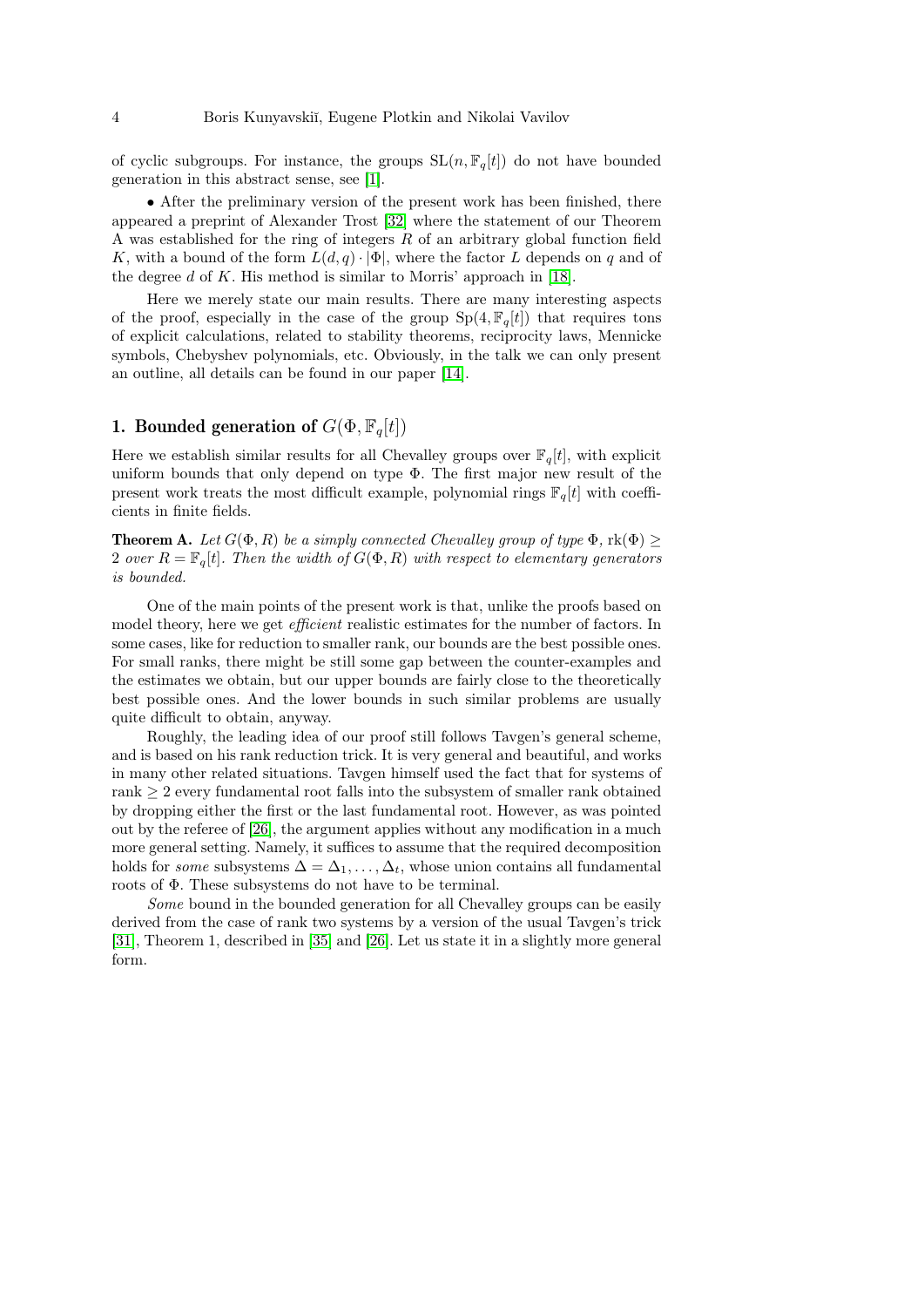of cyclic subgroups. For instance, the groups  $SL(n, \mathbb{F}_q[t])$  do not have bounded generation in this abstract sense, see [\[1\]](#page-9-15).

• After the preliminary version of the present work has been finished, there appeared a preprint of Alexander Trost [\[32\]](#page-10-6) where the statement of our Theorem A was established for the ring of integers  $R$  of an arbitrary global function field K, with a bound of the form  $L(d, q) \cdot |\Phi|$ , where the factor L depends on q and of the degree d of K. His method is similar to Morris' approach in [\[18\]](#page-9-9).

Here we merely state our main results. There are many interesting aspects of the proof, especially in the case of the group  $Sp(4, \mathbb{F}_q[t])$  that requires tons of explicit calculations, related to stability theorems, reciprocity laws, Mennicke symbols, Chebyshev polynomials, etc. Obviously, in the talk we can only present an outline, all details can be found in our paper [\[14\]](#page-9-0).

### 1. Bounded generation of  $G(\Phi, \mathbb{F}_q[t])$

Here we establish similar results for all Chevalley groups over  $\mathbb{F}_q[t]$ , with explicit uniform bounds that only depend on type Φ. The first major new result of the present work treats the most difficult example, polynomial rings  $\mathbb{F}_q[t]$  with coefficients in finite fields.

**Theorem A.** Let  $G(\Phi, R)$  be a simply connected Chevalley group of type  $\Phi$ ,  $\text{rk}(\Phi)$ 2 over  $R = \mathbb{F}_q[t]$ . Then the width of  $G(\Phi, R)$  with respect to elementary generators is bounded.

One of the main points of the present work is that, unlike the proofs based on model theory, here we get efficient realistic estimates for the number of factors. In some cases, like for reduction to smaller rank, our bounds are the best possible ones. For small ranks, there might be still some gap between the counter-examples and the estimates we obtain, but our upper bounds are fairly close to the theoretically best possible ones. And the lower bounds in such similar problems are usually quite difficult to obtain, anyway.

Roughly, the leading idea of our proof still follows Tavgen's general scheme, and is based on his rank reduction trick. It is very general and beautiful, and works in many other related situations. Tavgen himself used the fact that for systems of rank ≥ 2 every fundamental root falls into the subsystem of smaller rank obtained by dropping either the first or the last fundamental root. However, as was pointed out by the referee of [\[26\]](#page-10-7), the argument applies without any modification in a much more general setting. Namely, it suffices to assume that the required decomposition holds for *some* subsystems  $\Delta = \Delta_1, \ldots, \Delta_t$ , whose union contains all fundamental roots of Φ. These subsystems do not have to be terminal.

Some bound in the bounded generation for all Chevalley groups can be easily derived from the case of rank two systems by a version of the usual Tavgen's trick [\[31\]](#page-10-3), Theorem 1, described in [\[35\]](#page-10-8) and [\[26\]](#page-10-7). Let us state it in a slightly more general form.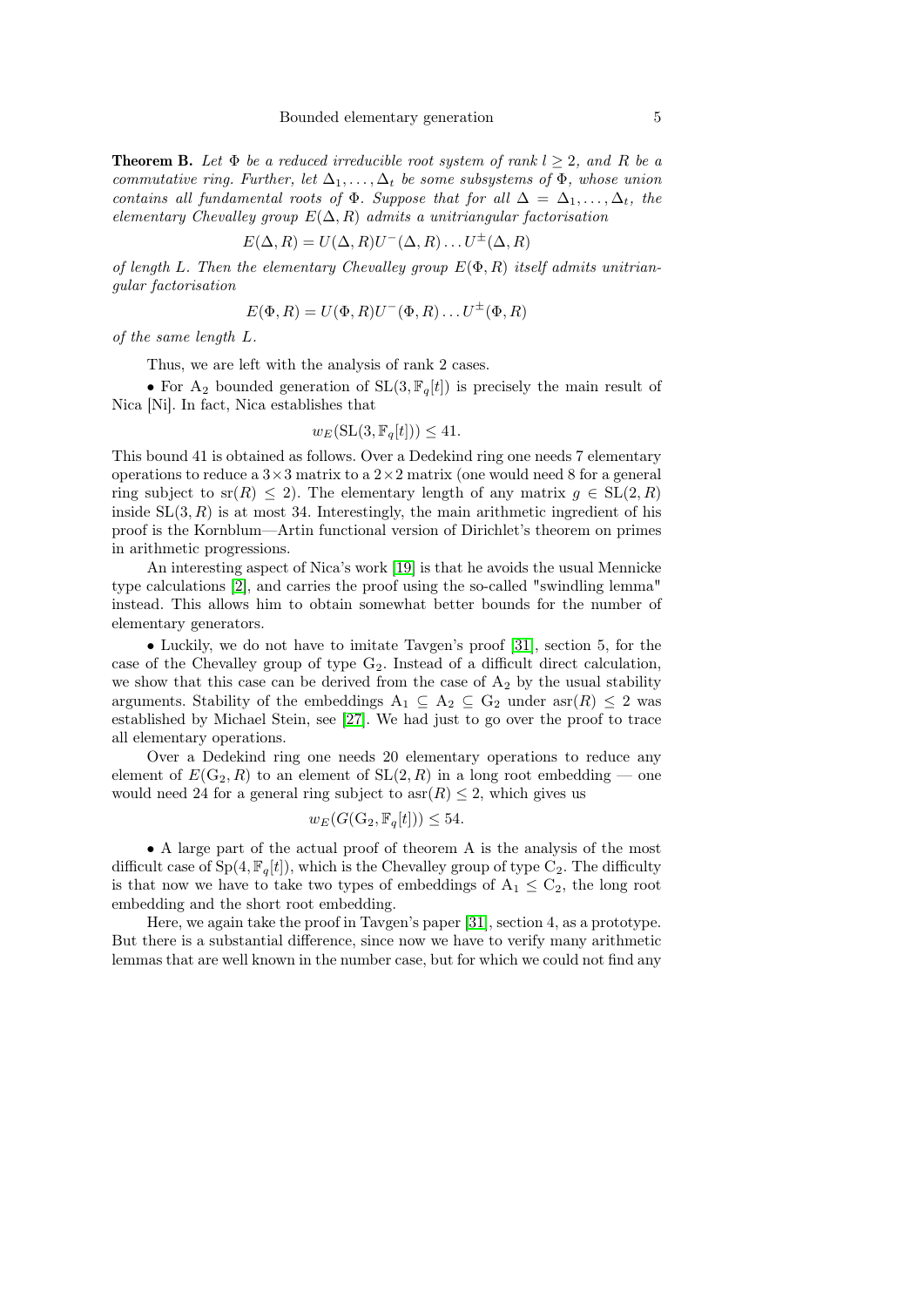**Theorem B.** Let  $\Phi$  be a reduced irreducible root system of rank  $l \geq 2$ , and R be a commutative ring. Further, let  $\Delta_1, \ldots, \Delta_t$  be some subsystems of  $\Phi$ , whose union contains all fundamental roots of  $\Phi$ . Suppose that for all  $\Delta = \Delta_1, \ldots, \Delta_t$ , the elementary Chevalley group  $E(\Delta, R)$  admits a unitriangular factorisation

$$
E(\Delta, R) = U(\Delta, R)U^{-}(\Delta, R) \dots U^{\pm}(\Delta, R)
$$

of length L. Then the elementary Chevalley group  $E(\Phi, R)$  itself admits unitriangular factorisation

$$
E(\Phi, R) = U(\Phi, R)U^-(\Phi, R) \dots U^{\pm}(\Phi, R)
$$

of the same length L.

Thus, we are left with the analysis of rank 2 cases.

• For A<sub>2</sub> bounded generation of  $SL(3, \mathbb{F}_q[t])$  is precisely the main result of Nica [Ni]. In fact, Nica establishes that

$$
w_E(\mathrm{SL}(3, \mathbb{F}_q[t])) \le 41.
$$

This bound 41 is obtained as follows. Over a Dedekind ring one needs 7 elementary operations to reduce a  $3\times3$  matrix to a  $2\times2$  matrix (one would need 8 for a general ring subject to sr(R)  $\leq$  2). The elementary length of any matrix  $g \in SL(2, R)$ inside  $SL(3, R)$  is at most 34. Interestingly, the main arithmetic ingredient of his proof is the Kornblum—Artin functional version of Dirichlet's theorem on primes in arithmetic progressions.

An interesting aspect of Nica's work [\[19\]](#page-9-16) is that he avoids the usual Mennicke type calculations [\[2\]](#page-9-1), and carries the proof using the so-called "swindling lemma" instead. This allows him to obtain somewhat better bounds for the number of elementary generators.

• Luckily, we do not have to imitate Tavgen's proof [\[31\]](#page-10-3), section 5, for the case of the Chevalley group of type  $G_2$ . Instead of a difficult direct calculation, we show that this case can be derived from the case of  $A_2$  by the usual stability arguments. Stability of the embeddings  $A_1 \subseteq A_2 \subseteq G_2$  under  $asr(R) \leq 2$  was established by Michael Stein, see [\[27\]](#page-10-9). We had just to go over the proof to trace all elementary operations.

Over a Dedekind ring one needs 20 elementary operations to reduce any element of  $E(G_2, R)$  to an element of  $SL(2, R)$  in a long root embedding — one would need 24 for a general ring subject to  $\operatorname{asr}(R) \leq 2$ , which gives us

$$
w_E(G(\mathcal{G}_2, \mathbb{F}_q[t])) \le 54.
$$

• A large part of the actual proof of theorem A is the analysis of the most difficult case of  $Sp(4, \mathbb{F}_q[t])$ , which is the Chevalley group of type  $C_2$ . The difficulty is that now we have to take two types of embeddings of  $A_1 \leq C_2$ , the long root embedding and the short root embedding.

Here, we again take the proof in Tavgen's paper [\[31\]](#page-10-3), section 4, as a prototype. But there is a substantial difference, since now we have to verify many arithmetic lemmas that are well known in the number case, but for which we could not find any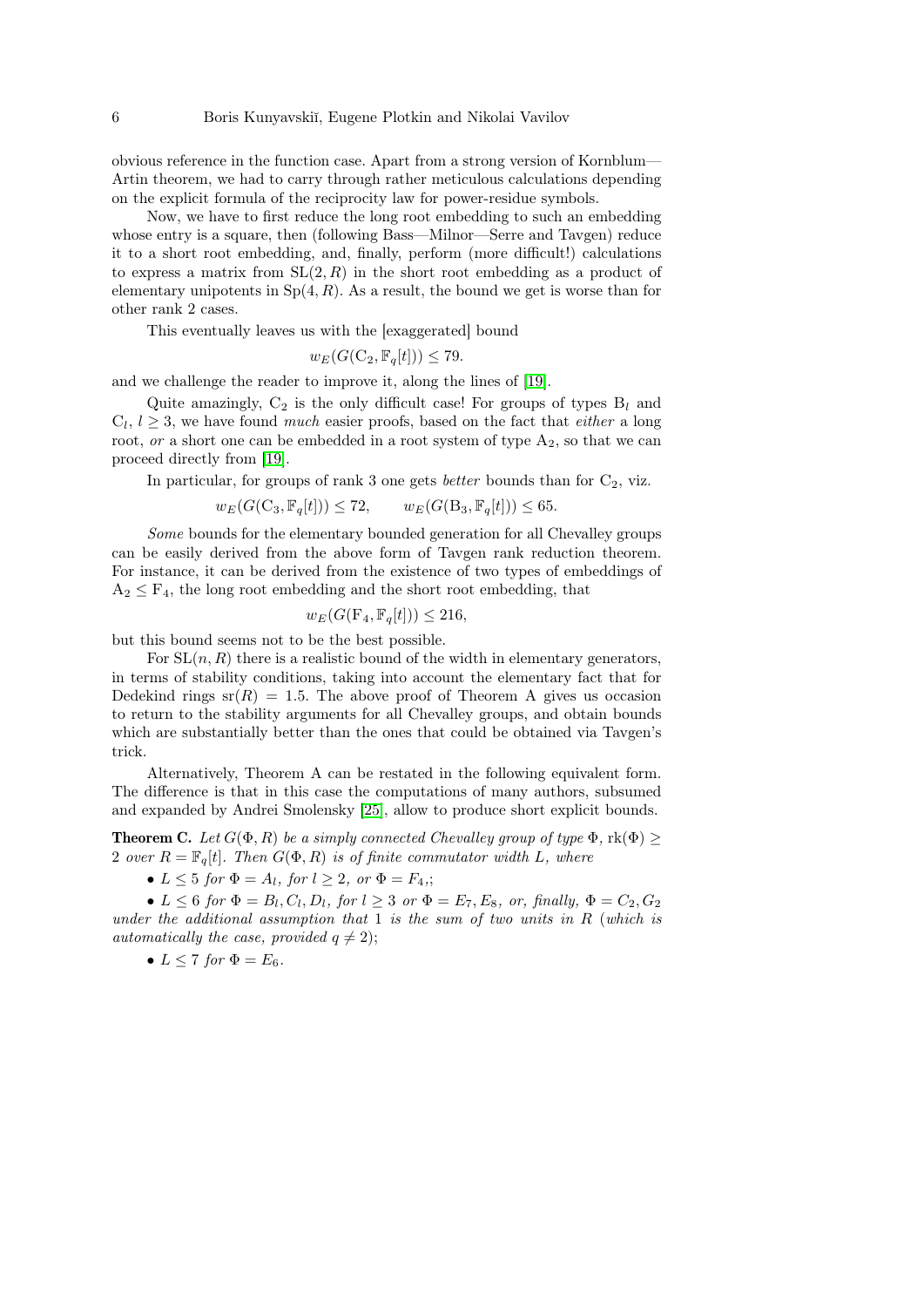obvious reference in the function case. Apart from a strong version of Kornblum— Artin theorem, we had to carry through rather meticulous calculations depending on the explicit formula of the reciprocity law for power-residue symbols.

Now, we have to first reduce the long root embedding to such an embedding whose entry is a square, then (following Bass—Milnor—Serre and Taygen) reduce it to a short root embedding, and, finally, perform (more difficult!) calculations to express a matrix from  $SL(2, R)$  in the short root embedding as a product of elementary unipotents in  $Sp(4, R)$ . As a result, the bound we get is worse than for other rank 2 cases.

This eventually leaves us with the [exaggerated] bound

$$
w_E(G(\mathcal{C}_2, \mathbb{F}_q[t])) \le 79.
$$

and we challenge the reader to improve it, along the lines of [\[19\]](#page-9-16).

Quite amazingly,  $C_2$  is the only difficult case! For groups of types  $B_l$  and  $C_l, l \geq 3$ , we have found *much* easier proofs, based on the fact that *either* a long root,  $or$  a short one can be embedded in a root system of type  $A_2$ , so that we can proceed directly from [\[19\]](#page-9-16).

In particular, for groups of rank 3 one gets *better* bounds than for  $C_2$ , viz.

$$
w_E(G(\mathcal{C}_3, \mathbb{F}_q[t])) \le 72, \qquad w_E(G(\mathcal{B}_3, \mathbb{F}_q[t])) \le 65.
$$

Some bounds for the elementary bounded generation for all Chevalley groups can be easily derived from the above form of Tavgen rank reduction theorem. For instance, it can be derived from the existence of two types of embeddings of  $A_2 \leq F_4$ , the long root embedding and the short root embedding, that

$$
w_E(G(\mathbf{F}_4, \mathbb{F}_q[t])) \le 216,
$$

but this bound seems not to be the best possible.

For  $SL(n, R)$  there is a realistic bound of the width in elementary generators, in terms of stability conditions, taking into account the elementary fact that for Dedekind rings  $sr(R) = 1.5$ . The above proof of Theorem A gives us occasion to return to the stability arguments for all Chevalley groups, and obtain bounds which are substantially better than the ones that could be obtained via Tavgen's trick.

Alternatively, Theorem A can be restated in the following equivalent form. The difference is that in this case the computations of many authors, subsumed and expanded by Andrei Smolensky [\[25\]](#page-10-10), allow to produce short explicit bounds.

**Theorem C.** Let  $G(\Phi, R)$  be a simply connected Chevalley group of type  $\Phi$ ,  $rk(\Phi) \geq$ 2 over  $R = \mathbb{F}_q[t]$ . Then  $G(\Phi, R)$  is of finite commutator width L, where

•  $L \leq 5$  for  $\Phi = A_l$ , for  $l > 2$ , or  $\Phi = F_4$ .;

•  $L \leq 6$  for  $\Phi = B_l, C_l, D_l$ , for  $l \geq 3$  or  $\Phi = E_7, E_8$ , or, finally,  $\Phi = C_2, G_2$ under the additional assumption that  $1$  is the sum of two units in  $R$  (which is automatically the case, provided  $q \neq 2$ );

• 
$$
L \leq 7
$$
 for  $\Phi = E_6$ .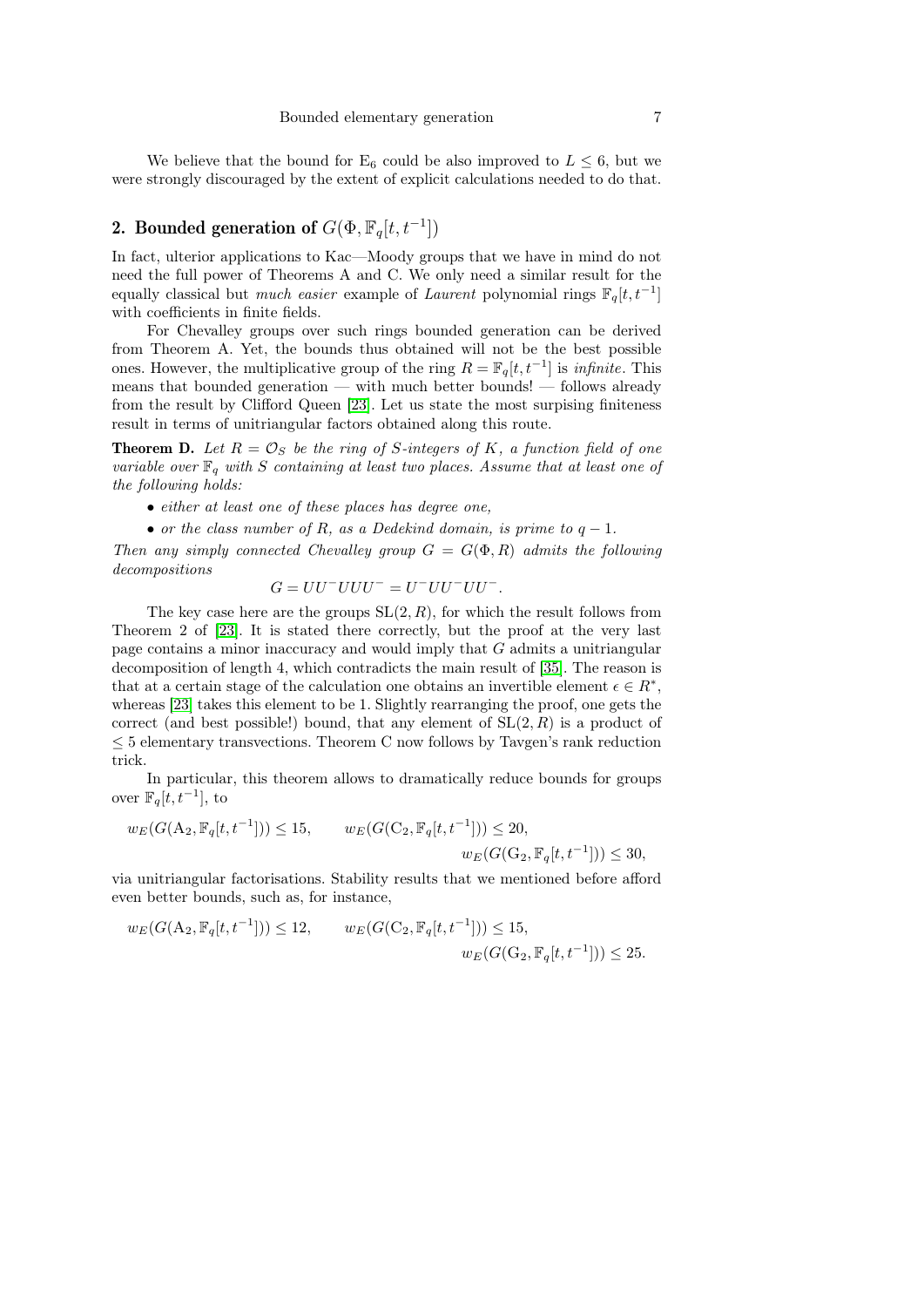We believe that the bound for  $E_6$  could be also improved to  $L \leq 6$ , but we were strongly discouraged by the extent of explicit calculations needed to do that.

## 2. Bounded generation of  $G(\Phi, \mathbb{F}_q[t, t^{-1}])$

In fact, ulterior applications to Kac—Moody groups that we have in mind do not need the full power of Theorems A and C. We only need a similar result for the equally classical but *much easier* example of *Laurent* polynomial rings  $\mathbb{F}_q[t, t^{-1}]$ with coefficients in finite fields.

For Chevalley groups over such rings bounded generation can be derived from Theorem A. Yet, the bounds thus obtained will not be the best possible ones. However, the multiplicative group of the ring  $R = \mathbb{F}_q[t, t^{-1}]$  is *infinite*. This means that bounded generation — with much better bounds! — follows already from the result by Clifford Queen [\[23\]](#page-10-5). Let us state the most surpising finiteness result in terms of unitriangular factors obtained along this route.

**Theorem D.** Let  $R = \mathcal{O}_S$  be the ring of S-integers of K, a function field of one variable over  $\mathbb{F}_q$  with S containing at least two places. Assume that at least one of the following holds:

- either at least one of these places has degree one,
- or the class number of R, as a Dedekind domain, is prime to  $q-1$ .

Then any simply connected Chevalley group  $G = G(\Phi, R)$  admits the following decompositions

$$
G = UU^- UUU^- = U^- UU^- UU^-.
$$

The key case here are the groups  $SL(2, R)$ , for which the result follows from Theorem 2 of [\[23\]](#page-10-5). It is stated there correctly, but the proof at the very last page contains a minor inaccuracy and would imply that G admits a unitriangular decomposition of length 4, which contradicts the main result of [\[35\]](#page-10-8). The reason is that at a certain stage of the calculation one obtains an invertible element  $\epsilon \in R^*$ , whereas [\[23\]](#page-10-5) takes this element to be 1. Slightly rearranging the proof, one gets the correct (and best possible!) bound, that any element of  $SL(2, R)$  is a product of  $\leq$  5 elementary transvections. Theorem C now follows by Tavgen's rank reduction trick.

In particular, this theorem allows to dramatically reduce bounds for groups over  $\mathbb{F}_q[t, t^{-1}],$  to

$$
w_E(G(\mathbf{A}_2, \mathbb{F}_q[t, t^{-1}])) \le 15, \qquad w_E(G(\mathbf{C}_2, \mathbb{F}_q[t, t^{-1}])) \le 20, \n w_E(G(\mathbf{G}_2, \mathbb{F}_q[t, t^{-1}])) \le 30,
$$

via unitriangular factorisations. Stability results that we mentioned before afford even better bounds, such as, for instance,

$$
w_E(G(\mathbf{A}_2, \mathbb{F}_q[t, t^{-1}])) \le 12, \qquad w_E(G(\mathbf{C}_2, \mathbb{F}_q[t, t^{-1}])) \le 15, \n w_E(G(\mathbf{G}_2, \mathbb{F}_q[t, t^{-1}])) \le 25.
$$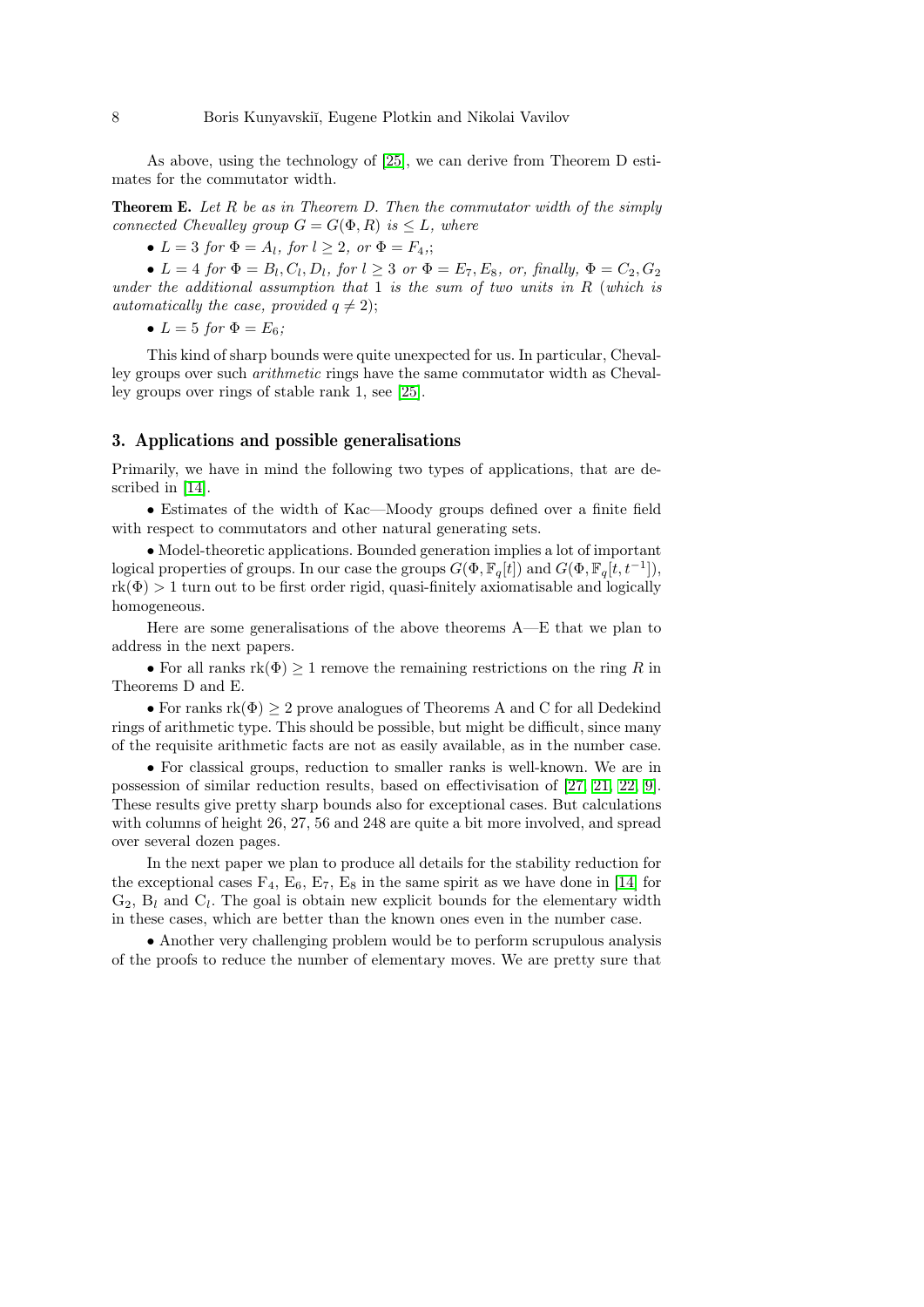As above, using the technology of [\[25\]](#page-10-10), we can derive from Theorem D estimates for the commutator width.

**Theorem E.** Let R be as in Theorem D. Then the commutator width of the simply connected Chevalley group  $G = G(\Phi, R)$  is  $\leq L$ , where

•  $L = 3$  for  $\Phi = A_l$ , for  $l \geq 2$ , or  $\Phi = F_4$ ;

•  $L = 4$  for  $\Phi = B_l, C_l, D_l$ , for  $l \geq 3$  or  $\Phi = E_7, E_8$ , or, finally,  $\Phi = C_2, G_2$ under the additional assumption that  $1$  is the sum of two units in  $R$  (which is automatically the case, provided  $q \neq 2$ );

•  $L = 5$  for  $\Phi = E_6$ ;

This kind of sharp bounds were quite unexpected for us. In particular, Chevalley groups over such arithmetic rings have the same commutator width as Chevalley groups over rings of stable rank 1, see [\[25\]](#page-10-10).

### 3. Applications and possible generalisations

Primarily, we have in mind the following two types of applications, that are described in [\[14\]](#page-9-0).

• Estimates of the width of Kac—Moody groups defined over a finite field with respect to commutators and other natural generating sets.

• Model-theoretic applications. Bounded generation implies a lot of important logical properties of groups. In our case the groups  $G(\Phi, \mathbb{F}_q[t])$  and  $G(\Phi, \mathbb{F}_q[t, t^{-1}])$ ,  $rk(\Phi) > 1$  turn out to be first order rigid, quasi-finitely axiomatisable and logically homogeneous.

Here are some generalisations of the above theorems A—E that we plan to address in the next papers.

• For all ranks  $rk(\Phi) \geq 1$  remove the remaining restrictions on the ring R in Theorems D and E.

• For ranks  $rk(\Phi) > 2$  prove analogues of Theorems A and C for all Dedekind rings of arithmetic type. This should be possible, but might be difficult, since many of the requisite arithmetic facts are not as easily available, as in the number case.

• For classical groups, reduction to smaller ranks is well-known. We are in possession of similar reduction results, based on effectivisation of [\[27,](#page-10-9) [21,](#page-10-11) [22,](#page-10-12) [9\]](#page-9-17). These results give pretty sharp bounds also for exceptional cases. But calculations with columns of height 26, 27, 56 and 248 are quite a bit more involved, and spread over several dozen pages.

In the next paper we plan to produce all details for the stability reduction for the exceptional cases  $F_4$ ,  $E_6$ ,  $E_7$ ,  $E_8$  in the same spirit as we have done in [\[14\]](#page-9-0) for  $G_2$ ,  $B_l$  and  $C_l$ . The goal is obtain new explicit bounds for the elementary width in these cases, which are better than the known ones even in the number case.

• Another very challenging problem would be to perform scrupulous analysis of the proofs to reduce the number of elementary moves. We are pretty sure that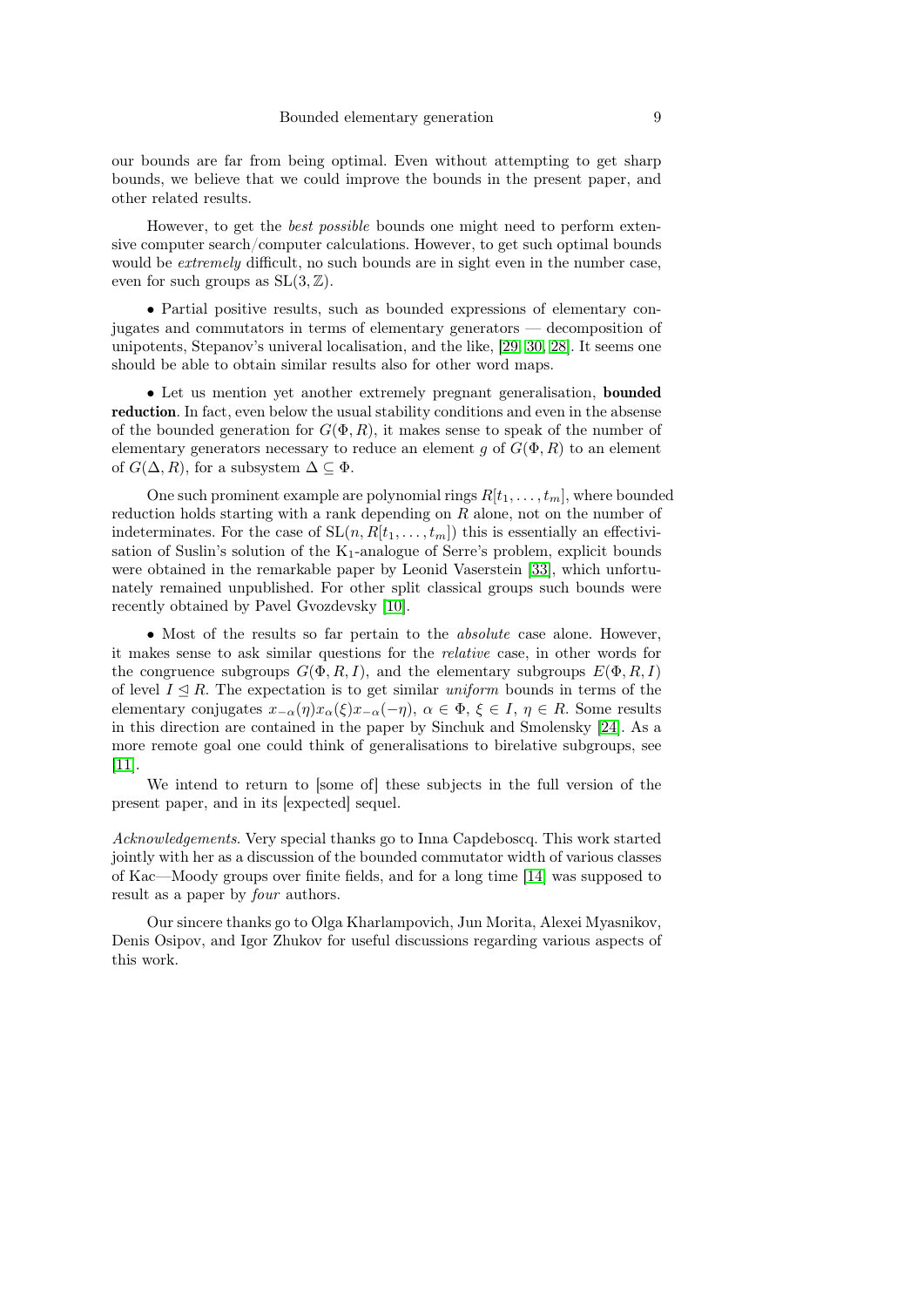our bounds are far from being optimal. Even without attempting to get sharp bounds, we believe that we could improve the bounds in the present paper, and other related results.

However, to get the best possible bounds one might need to perform extensive computer search/computer calculations. However, to get such optimal bounds would be *extremely* difficult, no such bounds are in sight even in the number case, even for such groups as  $SL(3, \mathbb{Z})$ .

• Partial positive results, such as bounded expressions of elementary conjugates and commutators in terms of elementary generators — decomposition of unipotents, Stepanov's univeral localisation, and the like, [\[29,](#page-10-13) [30,](#page-10-1) [28\]](#page-10-2). It seems one should be able to obtain similar results also for other word maps.

• Let us mention yet another extremely pregnant generalisation, bounded reduction. In fact, even below the usual stability conditions and even in the absense of the bounded generation for  $G(\Phi, R)$ , it makes sense to speak of the number of elementary generators necessary to reduce an element g of  $G(\Phi, R)$  to an element of  $G(\Delta, R)$ , for a subsystem  $\Delta \subseteq \Phi$ .

One such prominent example are polynomial rings  $R[t_1, \ldots, t_m]$ , where bounded reduction holds starting with a rank depending on  $R$  alone, not on the number of indeterminates. For the case of  $SL(n, R[t_1, \ldots, t_m])$  this is essentially an effectivisation of Suslin's solution of the  $K_1$ -analogue of Serre's problem, explicit bounds were obtained in the remarkable paper by Leonid Vaserstein [\[33\]](#page-10-14), which unfortunately remained unpublished. For other split classical groups such bounds were recently obtained by Pavel Gvozdevsky [\[10\]](#page-9-18).

• Most of the results so far pertain to the *absolute* case alone. However, it makes sense to ask similar questions for the relative case, in other words for the congruence subgroups  $G(\Phi, R, I)$ , and the elementary subgroups  $E(\Phi, R, I)$ of level  $I \leq R$ . The expectation is to get similar *uniform* bounds in terms of the elementary conjugates  $x_{-\alpha}(\eta)x_{\alpha}(\xi)x_{-\alpha}(-\eta), \alpha \in \Phi, \xi \in I, \eta \in R$ . Some results in this direction are contained in the paper by Sinchuk and Smolensky [\[24\]](#page-10-15). As a more remote goal one could think of generalisations to birelative subgroups, see [\[11\]](#page-9-19).

We intend to return to [some of] these subjects in the full version of the present paper, and in its [expected] sequel.

Acknowledgements. Very special thanks go to Inna Capdeboscq. This work started jointly with her as a discussion of the bounded commutator width of various classes of Kac—Moody groups over finite fields, and for a long time [\[14\]](#page-9-0) was supposed to result as a paper by four authors.

Our sincere thanks go to Olga Kharlampovich, Jun Morita, Alexei Myasnikov, Denis Osipov, and Igor Zhukov for useful discussions regarding various aspects of this work.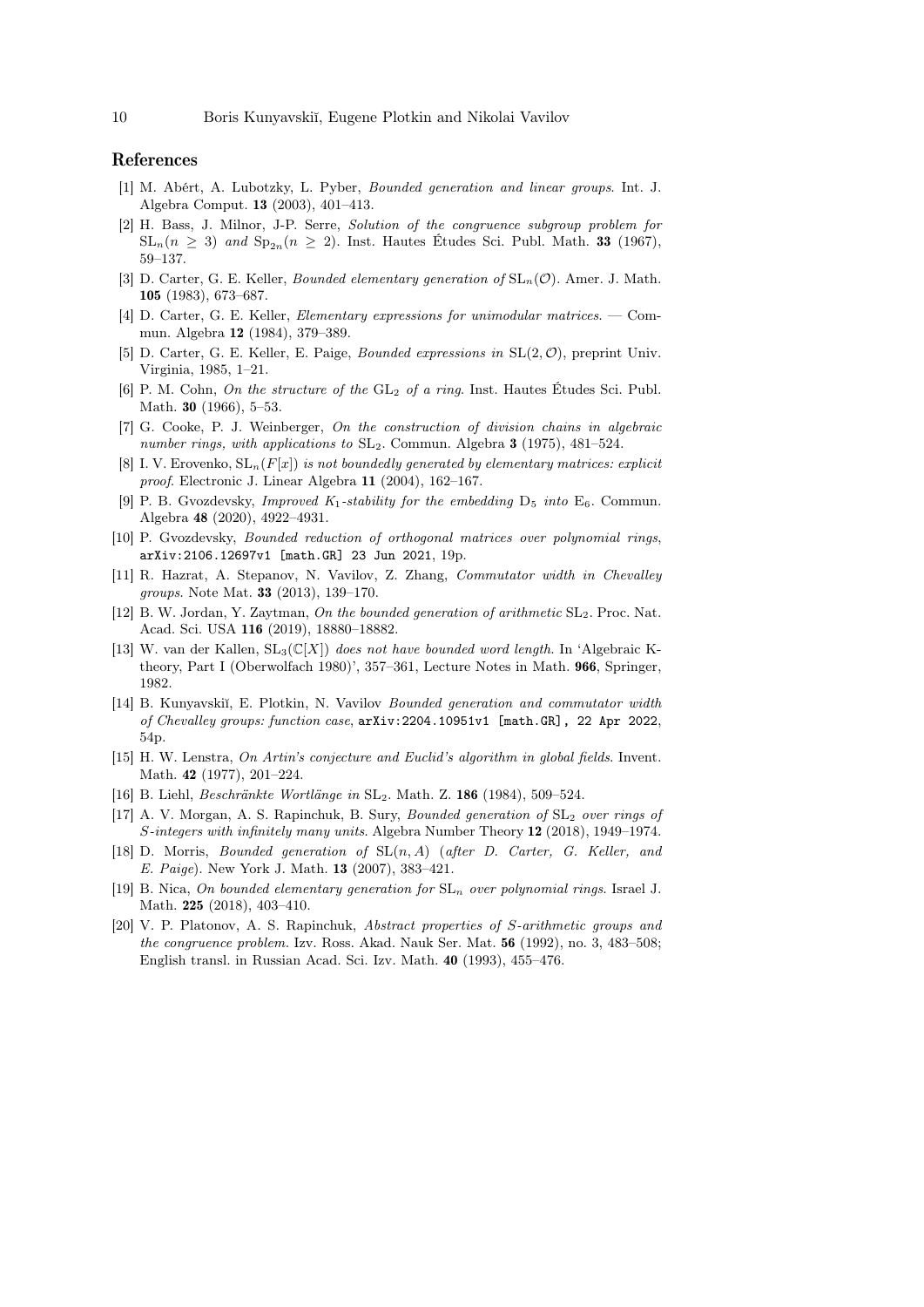### References

- <span id="page-9-15"></span>[1] M. Abért, A. Lubotzky, L. Pyber, Bounded generation and linear groups. Int. J. Algebra Comput. 13 (2003), 401–413.
- <span id="page-9-1"></span>[2] H. Bass, J. Milnor, J-P. Serre, Solution of the congruence subgroup problem for  $SL_n(n \geq 3)$  and  $Sp_{2n}(n \geq 2)$ . Inst. Hautes Etudes Sci. Publ. Math. 33 (1967), 59–137.
- <span id="page-9-6"></span>[3] D. Carter, G. E. Keller, *Bounded elementary generation of*  $SL_n(\mathcal{O})$ . Amer. J. Math. 105 (1983), 673–687.
- <span id="page-9-7"></span>[4] D. Carter, G. E. Keller, Elementary expressions for unimodular matrices. — Commun. Algebra 12 (1984), 379–389.
- <span id="page-9-8"></span>[5] D. Carter, G. E. Keller, E. Paige, *Bounded expressions in*  $SL(2, \mathcal{O})$ , preprint Univ. Virginia, 1985, 1–21.
- <span id="page-9-2"></span>[6] P. M. Cohn, On the structure of the  $GL_2$  of a ring. Inst. Hautes Études Sci. Publ. Math. **30** (1966), 5–53.
- <span id="page-9-10"></span>[7] G. Cooke, P. J. Weinberger, On the construction of division chains in algebraic number rings, with applications to  $SL_2$ . Commun. Algebra 3 (1975), 481–524.
- <span id="page-9-4"></span>[8] I. V. Erovenko,  $SL_n(F[x])$  is not boundedly generated by elementary matrices: explicit proof. Electronic J. Linear Algebra 11 (2004), 162–167.
- <span id="page-9-17"></span>[9] P. B. Gvozdevsky, *Improved K*<sub>1</sub>-stability for the embedding  $D_5$  into  $E_6$ . Commun. Algebra 48 (2020), 4922–4931.
- <span id="page-9-18"></span>[10] P. Gvozdevsky, Bounded reduction of orthogonal matrices over polynomial rings, arXiv:2106.12697v1 [math.GR] 23 Jun 2021, 19p.
- <span id="page-9-19"></span>[11] R. Hazrat, A. Stepanov, N. Vavilov, Z. Zhang, Commutator width in Chevalley groups. Note Mat. 33 (2013), 139–170.
- <span id="page-9-13"></span>[12] B. W. Jordan, Y. Zaytman, On the bounded generation of arithmetic  $SL_2$ . Proc. Nat. Acad. Sci. USA 116 (2019), 18880–18882.
- <span id="page-9-3"></span>[13] W. van der Kallen,  $SL_3(\mathbb{C}[X])$  does not have bounded word length. In 'Algebraic Ktheory, Part I (Oberwolfach 1980)', 357–361, Lecture Notes in Math. 966, Springer, 1982.
- <span id="page-9-0"></span>[14] B. Kunyavskiĭ, E. Plotkin, N. Vavilov Bounded generation and commutator width of Chevalley groups: function case, arXiv:2204.10951v1 [math.GR], 22 Apr 2022, 54p.
- <span id="page-9-14"></span>[15] H. W. Lenstra, On Artin's conjecture and Euclid's algorithm in global fields. Invent. Math. 42 (1977), 201–224.
- <span id="page-9-11"></span>[16] B. Liehl, Beschränkte Wortlänge in SL2. Math. Z. 186 (1984), 509–524.
- <span id="page-9-12"></span>[17] A. V. Morgan, A. S. Rapinchuk, B. Sury, *Bounded generation of*  $SL_2$  *over rings of* S-integers with infinitely many units. Algebra Number Theory 12 (2018), 1949–1974.
- <span id="page-9-9"></span>[18] D. Morris, *Bounded generation of*  $SL(n, A)$  (after D. Carter, G. Keller, and E. Paige). New York J. Math. 13 (2007), 383–421.
- <span id="page-9-16"></span>[19] B. Nica, On bounded elementary generation for  $SL_n$  over polynomial rings. Israel J. Math. 225 (2018), 403–410.
- <span id="page-9-5"></span>[20] V. P. Platonov, A. S. Rapinchuk, Abstract properties of S-arithmetic groups and the congruence problem. Izv. Ross. Akad. Nauk Ser. Mat. 56 (1992), no. 3, 483–508; English transl. in Russian Acad. Sci. Izv. Math. 40 (1993), 455–476.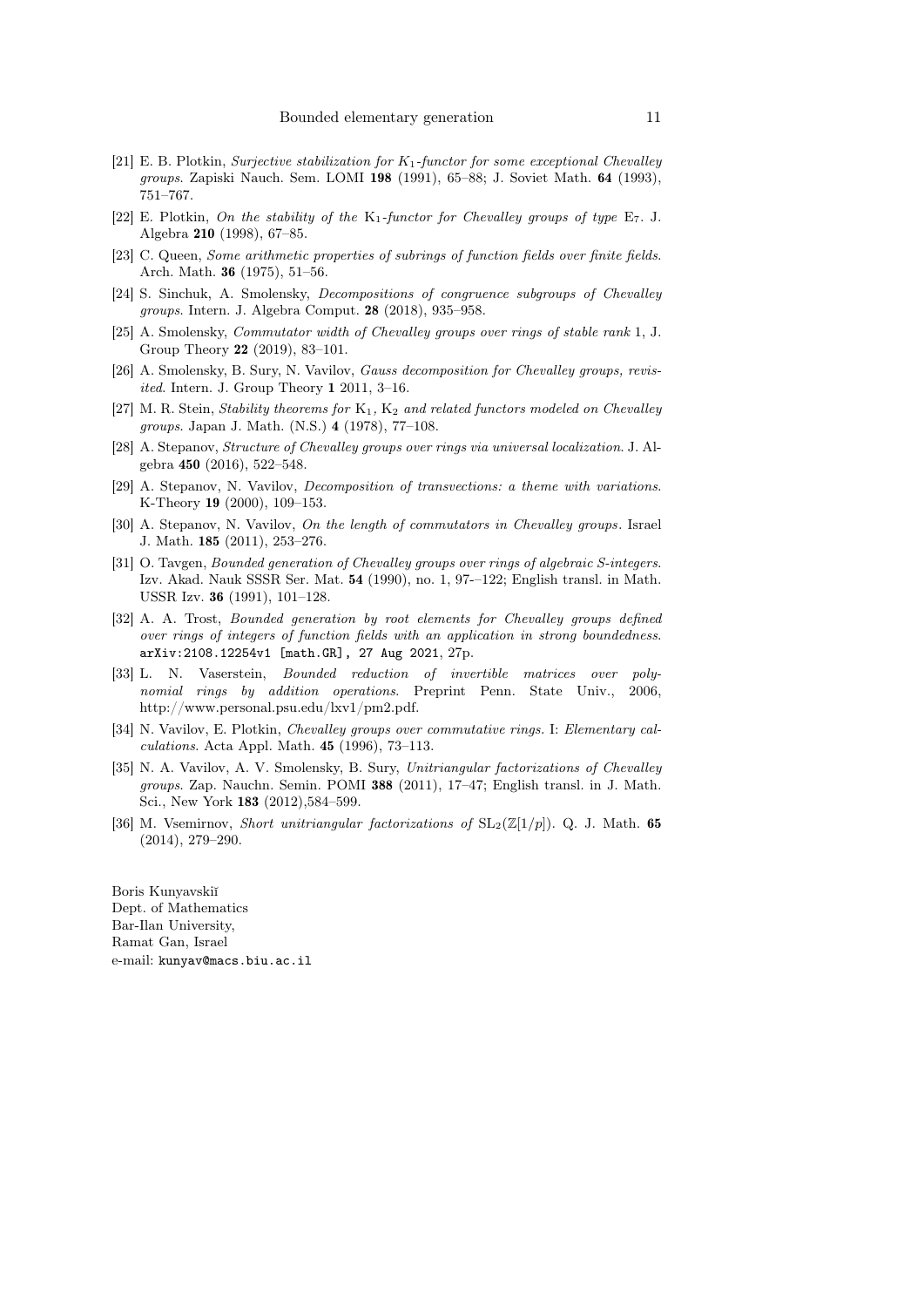- <span id="page-10-11"></span>[21] E. B. Plotkin, Surjective stabilization for  $K_1$ -functor for some exceptional Chevalley groups. Zapiski Nauch. Sem. LOMI 198 (1991), 65–88; J. Soviet Math. 64 (1993), 751–767.
- <span id="page-10-12"></span>[22] E. Plotkin, On the stability of the  $K_1$ -functor for Chevalley groups of type  $E_7$ . J. Algebra 210 (1998), 67–85.
- <span id="page-10-5"></span>[23] C. Queen, Some arithmetic properties of subrings of function fields over finite fields. Arch. Math. 36 (1975), 51–56.
- <span id="page-10-15"></span>[24] S. Sinchuk, A. Smolensky, Decompositions of congruence subgroups of Chevalley groups. Intern. J. Algebra Comput. 28 (2018), 935–958.
- <span id="page-10-10"></span>[25] A. Smolensky, Commutator width of Chevalley groups over rings of stable rank 1, J. Group Theory 22 (2019), 83–101.
- <span id="page-10-7"></span>[26] A. Smolensky, B. Sury, N. Vavilov, *Gauss decomposition for Chevalley groups, revis*ited. Intern. J. Group Theory 1 2011, 3–16.
- <span id="page-10-9"></span>[27] M. R. Stein, Stability theorems for  $K_1$ ,  $K_2$  and related functors modeled on Chevalley groups. Japan J. Math. (N.S.) 4 (1978), 77–108.
- <span id="page-10-2"></span>[28] A. Stepanov, Structure of Chevalley groups over rings via universal localization. J. Algebra 450 (2016), 522–548.
- <span id="page-10-13"></span>[29] A. Stepanov, N. Vavilov, Decomposition of transvections: a theme with variations. K-Theory 19 (2000), 109–153.
- <span id="page-10-1"></span>[30] A. Stepanov, N. Vavilov, On the length of commutators in Chevalley groups. Israel J. Math. 185 (2011), 253–276.
- <span id="page-10-3"></span>[31] O. Tavgen, Bounded generation of Chevalley groups over rings of algebraic S-integers. Izv. Akad. Nauk SSSR Ser. Mat. 54 (1990), no. 1, 97-–122; English transl. in Math. USSR Izv. 36 (1991), 101–128.
- <span id="page-10-6"></span>[32] A. A. Trost, *Bounded generation by root elements for Chevalley groups defined* over rings of integers of function fields with an application in strong boundedness. arXiv:2108.12254v1 [math.GR], 27 Aug 2021, 27p.
- <span id="page-10-14"></span>[33] L. N. Vaserstein, Bounded reduction of invertible matrices over polynomial rings by addition operations. Preprint Penn. State Univ., 2006, http://www.personal.psu.edu/lxv1/pm2.pdf.
- <span id="page-10-0"></span>[34] N. Vavilov, E. Plotkin, Chevalley groups over commutative rings. I: Elementary calculations. Acta Appl. Math. 45 (1996), 73–113.
- <span id="page-10-8"></span>[35] N. A. Vavilov, A. V. Smolensky, B. Sury, Unitriangular factorizations of Chevalley groups. Zap. Nauchn. Semin. POMI 388 (2011), 17–47; English transl. in J. Math. Sci., New York 183 (2012),584–599.
- <span id="page-10-4"></span>[36] M. Vsemirnov, Short unitriangular factorizations of  $SL_2(\mathbb{Z}[1/p])$ . Q. J. Math. 65 (2014), 279–290.

Boris Kunyavskiĭ Dept. of Mathematics Bar-Ilan University, Ramat Gan, Israel e-mail: kunyav@macs.biu.ac.il